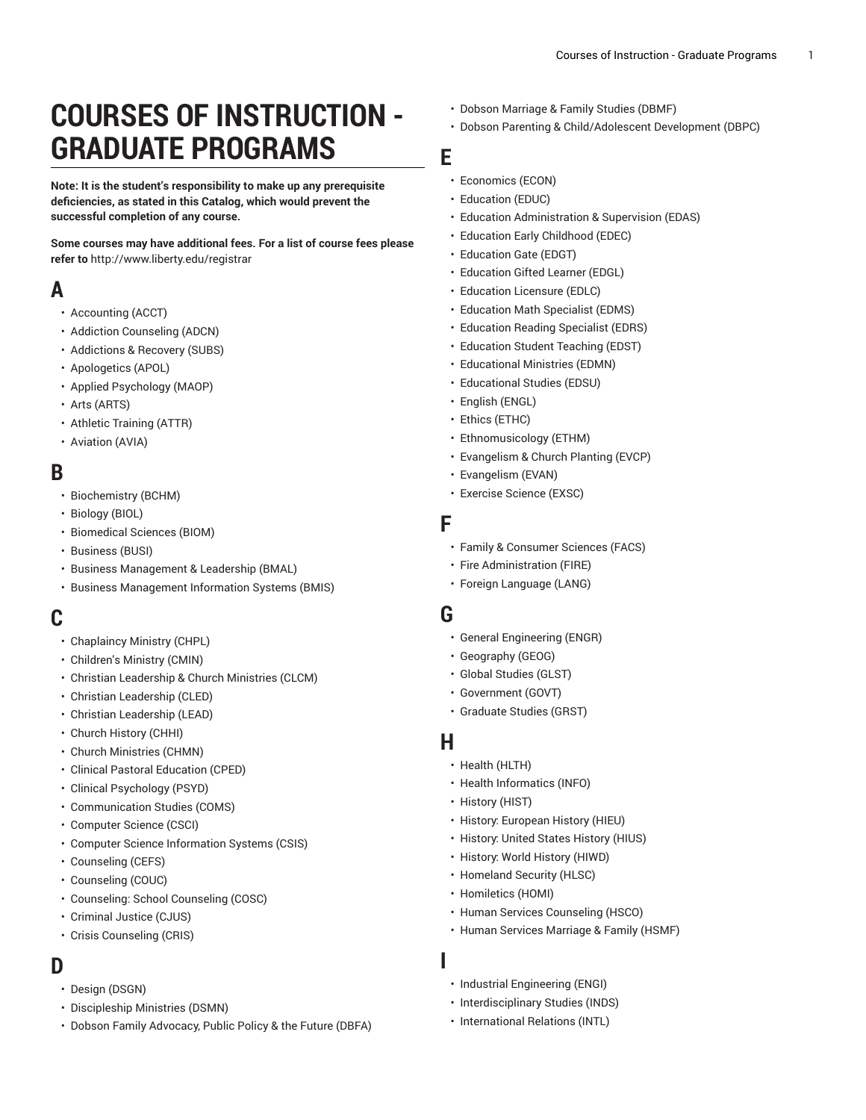# **COURSES OF INSTRUCTION - GRADUATE PROGRAMS**

**Note: It is the student's responsibility to make up any prerequisite deficiencies, as stated in this Catalog, which would prevent the successful completion of any course.**

**Some courses may have additional fees. For a list of course fees please refer to** [http://www.liberty.edu/registrar](https://www.liberty.edu/?pid=455)

#### **A**

- [Accounting](https://catalog.liberty.edu/graduate/courses/courses-graduate/acct/) (ACCT)
- [Addiction Counseling \(ADCN\)](https://catalog.liberty.edu/graduate/courses/courses-graduate/adcn/)
- [Addictions](https://catalog.liberty.edu/graduate/courses/courses-graduate/subs/) & Recovery (SUBS)
- [Apologetics \(APOL\)](https://catalog.liberty.edu/graduate/courses/courses-graduate/apol/)
- Applied [Psychology](https://catalog.liberty.edu/graduate/courses/courses-graduate/maop/) (MAOP)
- Arts [\(ARTS\)](https://catalog.liberty.edu/graduate/courses/courses-graduate/arts/)
- Athletic [Training](https://catalog.liberty.edu/graduate/courses/courses-graduate/attr/) (ATTR)
- [Aviation](https://catalog.liberty.edu/graduate/courses/courses-graduate/avia/) (AVIA)

#### **B**

- [Biochemistry](https://catalog.liberty.edu/graduate/courses/courses-graduate/bchm/) (BCHM)
- [Biology \(BIOL\)](https://catalog.liberty.edu/graduate/courses/courses-graduate/biol/)
- [Biomedical Sciences \(BIOM\)](https://catalog.liberty.edu/graduate/courses/courses-graduate/biom/)
- [Business \(BUSI\)](https://catalog.liberty.edu/graduate/courses/courses-graduate/busi/)
- Business [Management](https://catalog.liberty.edu/graduate/courses/courses-graduate/bmal/) & Leadership (BMAL)
- [Business Management Information Systems \(BMIS\)](https://catalog.liberty.edu/graduate/courses/courses-graduate/bmis/)

# **C**

- [Chaplaincy](https://catalog.liberty.edu/graduate/courses/courses-graduate/chpl/) Ministry (CHPL)
- [Children's](https://catalog.liberty.edu/graduate/courses/courses-graduate/cmin/) Ministry (CMIN)
- Christian [Leadership](https://catalog.liberty.edu/graduate/courses/courses-graduate/clcm/) & Church Ministries (CLCM)
- [Christian Leadership \(CLED\)](https://catalog.liberty.edu/graduate/courses/courses-graduate/cled/)
- [Christian Leadership \(LEAD\)](https://catalog.liberty.edu/graduate/courses/courses-graduate/lead/)
- Church [History](https://catalog.liberty.edu/graduate/courses/courses-graduate/chhi/) (CHHI)
- Church [Ministries](https://catalog.liberty.edu/graduate/courses/courses-graduate/chmn/) (CHMN)
- Clinical Pastoral [Education](https://catalog.liberty.edu/graduate/courses/courses-graduate/cped/) (CPED)
- Clinical [Psychology](https://catalog.liberty.edu/graduate/courses/courses-graduate/psyd/) (PSYD)
- [Communication Studies \(COMS\)](https://catalog.liberty.edu/graduate/courses/courses-graduate/coms/)
- [Computer Science \(CSCI\)](https://catalog.liberty.edu/graduate/courses/courses-graduate/csci/)
- [Computer Science Information Systems \(CSIS\)](https://catalog.liberty.edu/graduate/courses/courses-graduate/csis/)
- [Counseling \(CEFS\)](https://catalog.liberty.edu/graduate/courses/courses-graduate/cefs/)
- [Counseling](https://catalog.liberty.edu/graduate/courses/courses-graduate/couc/) (COUC)
- [Counseling:](https://catalog.liberty.edu/graduate/courses/courses-graduate/cosc/) School Counseling (COSC)
- [Criminal Justice \(CJUS\)](https://catalog.liberty.edu/graduate/courses/courses-graduate/cjus/)
- [Crisis Counseling \(CRIS\)](https://catalog.liberty.edu/graduate/courses/courses-graduate/cris/)

#### **D**

- [Design \(DSGN\)](https://catalog.liberty.edu/graduate/courses/courses-graduate/dsgn/)
- [Discipleship Ministries \(DSMN\)](https://catalog.liberty.edu/graduate/courses/courses-graduate/dsmn/)
- Dobson Family [Advocacy,](https://catalog.liberty.edu/graduate/courses/courses-graduate/dbfa/) Public Policy & the Future (DBFA)
- Dobson [Marriage](https://catalog.liberty.edu/graduate/courses/courses-graduate/dbmf/) & Family Studies (DBMF)
- Dobson Parenting & [Child/Adolescent](https://catalog.liberty.edu/graduate/courses/courses-graduate/dbpc/) Development (DBPC)

#### **E**

- [Economics](https://catalog.liberty.edu/graduate/courses/courses-graduate/econ/) (ECON)
- [Education](https://catalog.liberty.edu/graduate/courses/courses-graduate/educ/) (EDUC)
- Education [Administration](https://catalog.liberty.edu/graduate/courses/courses-graduate/edas/) & Supervision (EDAS)
- Education Early [Childhood](https://catalog.liberty.edu/graduate/courses/courses-graduate/edec/) (EDEC)
- [Education](https://catalog.liberty.edu/graduate/courses/courses-graduate/edgt/) Gate (EDGT)
- [Education](https://catalog.liberty.edu/graduate/courses/courses-graduate/edgl/) Gifted Learner (EDGL)
- [Education](https://catalog.liberty.edu/graduate/courses/courses-graduate/edlc/) Licensure (EDLC)
- [Education](https://catalog.liberty.edu/graduate/courses/courses-graduate/edms/) Math Specialist (EDMS)
- [Education](https://catalog.liberty.edu/graduate/courses/courses-graduate/edrs/) Reading Specialist (EDRS)
- [Education](https://catalog.liberty.edu/graduate/courses/courses-graduate/edst/) Student Teaching (EDST)
- [Educational](https://catalog.liberty.edu/graduate/courses/courses-graduate/edmn/) Ministries (EDMN)
- [Educational](https://catalog.liberty.edu/graduate/courses/courses-graduate/edsu/) Studies (EDSU)
- [English \(ENGL\)](https://catalog.liberty.edu/graduate/courses/courses-graduate/engl/)
- Ethics [\(ETHC\)](https://catalog.liberty.edu/graduate/courses/courses-graduate/ethc/)
- [Ethnomusicology](https://catalog.liberty.edu/graduate/courses/courses-graduate/ethm/) (ETHM)
- [Evangelism](https://catalog.liberty.edu/graduate/courses/courses-graduate/evcp/) & Church Planting (EVCP)
- [Evangelism](https://catalog.liberty.edu/graduate/courses/courses-graduate/evan/) (EVAN)
- [Exercise](https://catalog.liberty.edu/graduate/courses/courses-graduate/exsc/) Science (EXSC)

#### **F**

- Family & [Consumer](https://catalog.liberty.edu/graduate/courses/courses-graduate/facs/) Sciences (FACS)
- Fire [Administration](https://catalog.liberty.edu/graduate/courses/courses-graduate/fire/) (FIRE)
- Foreign [Language](https://catalog.liberty.edu/graduate/courses/courses-graduate/lang/) (LANG)

#### **G**

- [General Engineering \(ENGR\)](https://catalog.liberty.edu/graduate/courses/courses-graduate/engr/)
- [Geography \(GEOG\)](https://catalog.liberty.edu/graduate/courses/courses-graduate/geog/)
- [Global Studies \(GLST\)](https://catalog.liberty.edu/graduate/courses/courses-graduate/glst/)
- [Government](https://catalog.liberty.edu/graduate/courses/courses-graduate/govt/) (GOVT)
- [Graduate Studies \(GRST\)](https://catalog.liberty.edu/graduate/courses/courses-graduate/grst/)

#### **H**

**I**

- Health [\(HLTH\)](https://catalog.liberty.edu/graduate/courses/courses-graduate/hlth/)
- [Health Informatics \(INFO\)](https://catalog.liberty.edu/graduate/courses/courses-graduate/info/)
- [History](https://catalog.liberty.edu/graduate/courses/courses-graduate/hist/) (HIST)
- History: [European](https://catalog.liberty.edu/graduate/courses/courses-graduate/hieu/) History (HIEU)
- [History:](https://catalog.liberty.edu/graduate/courses/courses-graduate/hius/) United States History (HIUS)
- [History:](https://catalog.liberty.edu/graduate/courses/courses-graduate/hiwd/) World History (HIWD)
- [Homeland](https://catalog.liberty.edu/graduate/courses/courses-graduate/hlsc/) Security (HLSC)
- [Homiletics \(HOMI\)](https://catalog.liberty.edu/graduate/courses/courses-graduate/homi/)
- Human Services [Counseling](https://catalog.liberty.edu/graduate/courses/courses-graduate/hsco/) (HSCO)
- Human Services [Marriage](https://catalog.liberty.edu/graduate/courses/courses-graduate/hsmf/) & Family (HSMF)
- [Industrial Engineering \(ENGI\)](https://catalog.liberty.edu/graduate/courses/courses-graduate/engi/)
- [Interdisciplinary](https://catalog.liberty.edu/graduate/courses/courses-graduate/inds/) Studies (INDS)
- [International](https://catalog.liberty.edu/graduate/courses/courses-graduate/intl/) Relations (INTL)